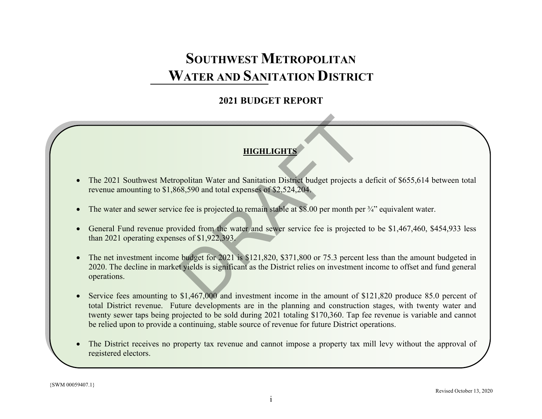# **2021 BUDGET REPORT**

# **HIGHLIGHTS**

- $\bullet$  The 2021 Southwest Metropolitan Water and Sanitation District budget projects a deficit of \$655,614 between total revenue amounting to \$1,868,590 and total expenses of \$2,524,204.
- $\bullet$ The water and sewer service fee is projected to remain stable at \$8.00 per month per <sup>3</sup>/4" equivalent water.
- General Fund revenue provided from the water and sewer service fee is projected to be \$1,467,460, \$454,933 less than 2021 operating expenses of \$1,922,393.
- $\bullet$  The net investment income budget for 2021 is \$121,820, \$371,800 or 75.3 percent less than the amount budgeted in 2020. The decline in market yields is significant as the District relies on investment income to offset and fund general operations. HIGHLIGHTS<br>poolitan Water and Sanitation District budget projects a<br>58,590 and total expenses of \$2,524,204.<br>e fee is projected to remain stable at \$8.00 per month per<br>vided from the water and sewer service fee is projecte
- $\bullet$ Service fees amounting to \$1,467,000 and investment income in the amount of \$121,820 produce 85.0 percent of total District revenue. Future developments are in the planning and construction stages, with twenty water and twenty sewer taps being projected to be sold during 2021 totaling \$170,360. Tap fee revenue is variable and cannot be relied upon to provide a continuing, stable source of revenue for future District operations.
- $\bullet$  The District receives no property tax revenue and cannot impose a property tax mill levy without the approval of registered electors.

{SWM 00059407.1}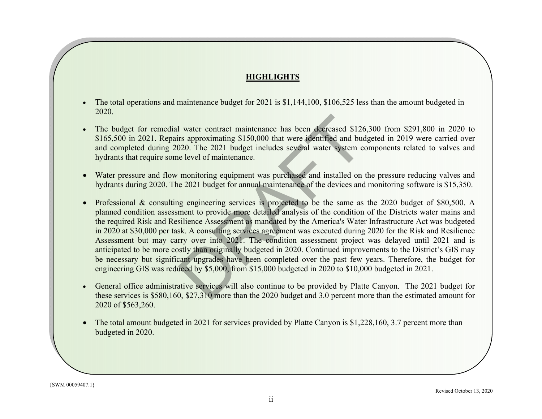# **HIGHLIGHTS**

- $\bullet$  The total operations and maintenance budget for 2021 is \$1,144,100, \$106,525 less than the amount budgeted in 2020.
- $\bullet$  The budget for remedial water contract maintenance has been decreased \$126,300 from \$291,800 in 2020 to \$165,500 in 2021. Repairs approximating \$150,000 that were identified and budgeted in 2019 were carried over and completed during 2020. The 2021 budget includes several water system components related to valves and hydrants that require some level of maintenance.
- $\bullet$  Water pressure and flow monitoring equipment was purchased and installed on the pressure reducing valves and hydrants during 2020. The 2021 budget for annual maintenance of the devices and monitoring software is \$15,350.
- Professional & consulting engineering services is projected to be the same as the 2020 budget of \$80,500. A planned condition assessment to provide more detailed analysis of the condition of the Districts water mains and the required Risk and Resilience Assessment as mandated by the America's Water Infrastructure Act was budgeted in 2020 at \$30,000 per task. A consulting services agreement was executed during 2020 for the Risk and Resilience Assessment but may carry over into 2021. The condition assessment project was delayed until 2021 and is anticipated to be more costly than originally budgeted in 2020. Continued improvements to the District's GIS may be necessary but significant upgrades have been completed over the past few years. Therefore, the budget for engineering GIS was reduced by \$5,000, from \$15,000 budgeted in 2020 to \$10,000 budgeted in 2021. I water contract maintenance has been decreased \$12thtms approximating \$150,000 that were identified and buord water system compared water system compared water system compared water system compared in a maintenance.<br>
moni
- $\bullet$  General office administrative services will also continue to be provided by Platte Canyon. The 2021 budget for these services is \$580,160, \$27,310 more than the 2020 budget and 3.0 percent more than the estimated amount for 2020 of \$563,260.
- $\bullet$  The total amount budgeted in 2021 for services provided by Platte Canyon is \$1,228,160, 3.7 percent more than budgeted in 2020.

{SWM 00059407.1}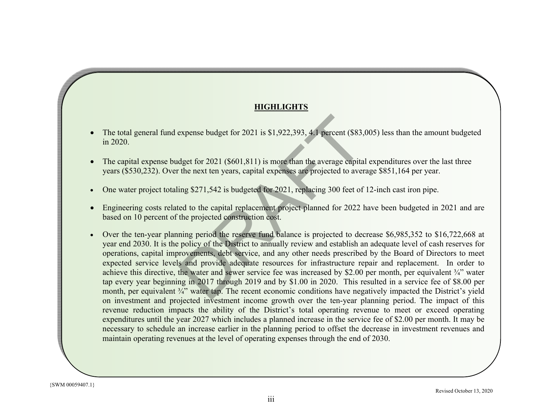# **HIGHLIGHTS HIGHLIGHTS**

- $\bullet$ • The total general fund expense budget for 2021 is \$1,922,393, 4.1 percent (\$83,005) less than the amount budgeted  $\sin 2020.$
- $\bullet$ • The capital expense budget for  $2021$  (\$601,811) is more than the average capital expenditures over the last three years (\$530,232). Over the next ten years, capital expenses are projected to average \$851,164 per year.  $\sigma$  amount budgeted in 2017 for the amount budgeted in 2017 for the amount budgeted in  $\sigma$
- One water project totaling \$271,542 is budgeted for 2021, replacing 300 feet of 12-inch cast iron pipe.  $\bullet$
- $\bullet$ • Engineering costs related to the capital replacement project planned for 2022 have been budgeted in 2021 and are based on 10 percent of the projected construction cost.
- Over the ten-year planning period the reserve fund balance is projected to decrease \$6,985,352 to \$16,722,668 at pear end 2000. It is the poncy of the District to almuany fevrew and establish an adequate fever of easn reserves for<br>operations, capital improvements, debt service, and any other needs prescribed by the Board of Directors betations, capital improvements, debt service, and any other needs presented by the Board of Bricetors to meet<br>expected service levels and provide adequate resources for infrastructure repair and replacement. In order to tap every year beginning in 2017 through 2019 and by \$1.00 in 2020. This resulted in a service fee of \$8.00 per month, per equivalent  $\frac{3}{4}$ " water tap. The recent economic conditions have negatively impacted the District's yield on investment and projected investment income growth over the ten-year planning period. The impact of this on investment and projected investment income growth over the ten-year planning period. The impact of this expenditures until the year 2027 which includes a planned increase in the service fee of \$2.00 per month. It may be necessary to schedule an increase earlier in the planning period to offset the decrease in investment revenues and second reflection project. On the next ten years, capital expenses the next ten years of the next ten years, capital expenses are projected to average on the next ten years, capital experimental to average on the second te maintain operating revenues at the level of operating expenses through the end of 2030.  $\bullet$ year end 2030. It is the policy of the District to annually review and establish an adequate level of cash reserves for achieve this directive, the water and sewer service fee was increased by \$2.00 per month, per equivalent ¾" water revenue reduction impacts the ability of the District's total operating revenue to meet or exceed operating expense budget for 2021 is \$1,922,393, 4.1 percent (\$83,<br>dget for 2021 (\$601,811) is more than the average capita<br>the next ten years, capital expenses are projected to aver<br>ing \$271,542 is budgeted for 2021, replacing 300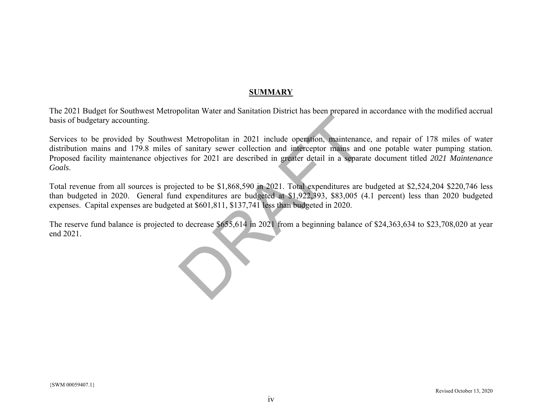### **SUMMARY**

The 2021 Budget for Southwest Metropolitan Water and Sanitation District has been prepared in accordance with the modified accrual basis of budgetary accounting.

Services to be provided by Southwest Metropolitan in 2021 include operation, maintenance, and repair of 178 miles of water distribution mains and 179.8 miles of sanitary sewer collection and interceptor mains and one potable water pumping station. Proposed facility maintenance objectives for 2021 are described in greater detail in a separate document titled *2021 Maintenance Goals*. t Metropolitan in 2021 include operation, maintenanced f sanitary sewer collection and interceptor mains and<br>ves for 2021 are described in greater detail in a separa<br>ected to be \$1,868,590 in 2021. Total expenditures are<br>d

Total revenue from all sources is projected to be \$1,868,590 in 2021. Total expenditures are budgeted at \$2,524,204 \$220,746 less than budgeted in 2020. General fund expenditures are budgeted at \$1,922,393, \$83,005 (4.1 percent) less than 2020 budgeted expenses. Capital expenses are budgeted at \$601,811, \$137,741 less than budgeted in 2020.

The reserve fund balance is projected to decrease \$655,614 in 2021 from a beginning balance of \$24,363,634 to \$23,708,020 at year end 2021.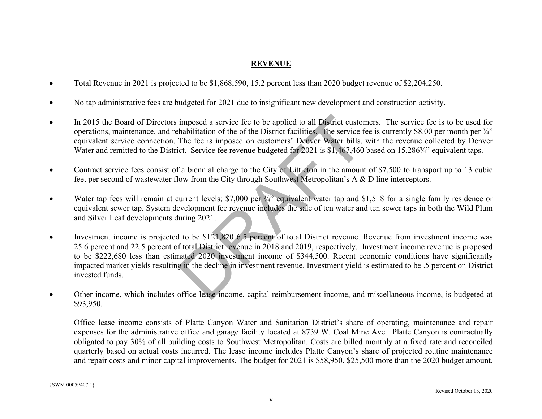# **REVENUE**

- $\bullet$ Total Revenue in 2021 is projected to be \$1,868,590, 15.2 percent less than 2020 budget revenue of \$2,204,250.
- $\bullet$ No tap administrative fees are budgeted for 2021 due to insignificant new development and construction activity.
- $\bullet$  In 2015 the Board of Directors imposed a service fee to be applied to all District customers. The service fee is to be used for operations, maintenance, and rehabilitation of the of the District facilities. The service fee is currently \$8.00 per month per ¾" equivalent service connection. The fee is imposed on customers' Denver Water bills, with the revenue collected by Denver Water and remitted to the District. Service fee revenue budgeted for 2021 is \$1,467,460 based on 15,286¼" equivalent taps.
- $\bullet$  Contract service fees consist of a biennial charge to the City of Littleton in the amount of \$7,500 to transport up to 13 cubic feet per second of wastewater flow from the City through Southwest Metropolitan's A & D line interceptors.
- $\bullet$ Water tap fees will remain at current levels; \$7,000 per 3/4" equivalent water tap and \$1,518 for a single family residence or equivalent sewer tap. System development fee revenue includes the sale of ten water and ten sewer taps in both the Wild Plum and Silver Leaf developments during 2021.
- $\bullet$  Investment income is projected to be \$121,820 6.5 percent of total District revenue. Revenue from investment income was 25.6 percent and 22.5 percent of total District revenue in 2018 and 2019, respectively. Investment income revenue is proposed to be \$222,680 less than estimated 2020 investment income of \$344,500. Recent economic conditions have significantly impacted market yields resulting in the decline in investment revenue. Investment yield is estimated to be .5 percent on District invested funds. imposed a service fee to be applied to all District custor<br>habilitation of the of the District facilities. The service f<br>The fee is imposed on customers' Denver Water bills,<br>ct. Service fee revenue budgeted for 2021 is \$1,
- $\bullet$  Other income, which includes office lease income, capital reimbursement income, and miscellaneous income, is budgeted at \$93,950.

Office lease income consists of Platte Canyon Water and Sanitation District's share of operating, maintenance and repair expenses for the administrative office and garage facility located at 8739 W. Coal Mine Ave. Platte Canyon is contractually obligated to pay 30% of all building costs to Southwest Metropolitan. Costs are billed monthly at a fixed rate and reconciled quarterly based on actual costs incurred. The lease income includes Platte Canyon's share of projected routine maintenance and repair costs and minor capital improvements. The budget for 2021 is \$58,950, \$25,500 more than the 2020 budget amount.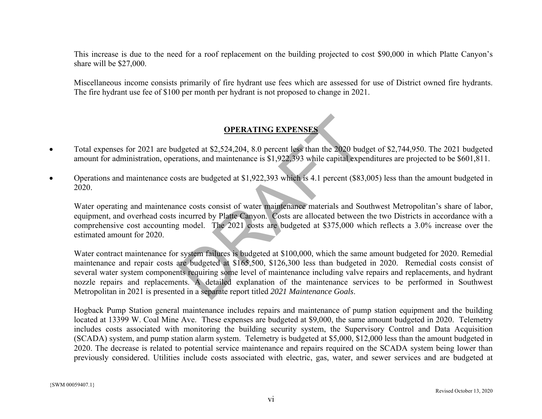This increase is due to the need for a roof replacement on the building projected to cost \$90,000 in which Platte Canyon's share will be \$27,000.

Miscellaneous income consists primarily of fire hydrant use fees which are assessed for use of District owned fire hydrants. The fire hydrant use fee of \$100 per month per hydrant is not proposed to change in 2021.

# **OPERATING EXPENSES**

- $\bullet$  Total expenses for 2021 are budgeted at \$2,524,204, 8.0 percent less than the 2020 budget of \$2,744,950. The 2021 budgeted amount for administration, operations, and maintenance is \$1,922,393 while capital expenditures are projected to be \$601,811.
- $\bullet$  Operations and maintenance costs are budgeted at \$1,922,393 which is 4.1 percent (\$83,005) less than the amount budgeted in 2020.

Water operating and maintenance costs consist of water maintenance materials and Southwest Metropolitan's share of labor, equipment, and overhead costs incurred by Platte Canyon. Costs are allocated between the two Districts in accordance with a comprehensive cost accounting model. The 2021 costs are budgeted at \$375,000 which reflects a 3.0% increase over the estimated amount for 2020.

Water contract maintenance for system failures is budgeted at \$100,000, which the same amount budgeted for 2020. Remedial maintenance and repair costs are budgeted at \$165,500, \$126,300 less than budgeted in 2020. Remedial costs consist of several water system components requiring some level of maintenance including valve repairs and replacements, and hydrant nozzle repairs and replacements. A detailed explanation of the maintenance services to be performed in Southwest Metropolitan in 2021 is presented in a separate report titled *2021 Maintenance Goals*. **OPERATING EXPENSES**<br>dgeted at \$2,524,204, 8.0 percent less than the 2020 bud<br>ations, and maintenance is \$1,922,393 while capital expe<br>sts are budgeted at \$1,922,393 which is 4.1 percent (\$83<br>sts are budgeted at \$1,922,393

Hogback Pump Station general maintenance includes repairs and maintenance of pump station equipment and the building located at 13399 W. Coal Mine Ave. These expenses are budgeted at \$9,000, the same amount budgeted in 2020. Telemetry includes costs associated with monitoring the building security system, the Supervisory Control and Data Acquisition (SCADA) system, and pump station alarm system. Telemetry is budgeted at \$5,000, \$12,000 less than the amount budgeted in 2020. The decrease is related to potential service maintenance and repairs required on the SCADA system being lower than previously considered. Utilities include costs associated with electric, gas, water, and sewer services and are budgeted at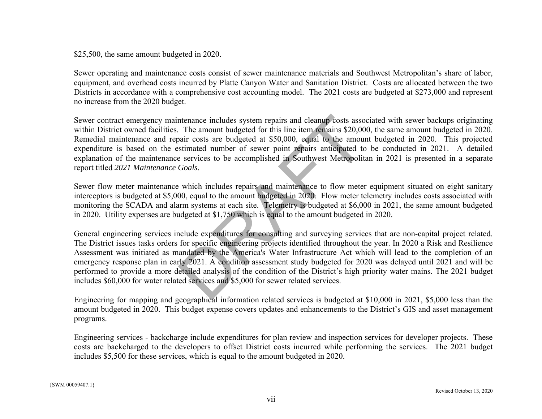#### \$25,500, the same amount budgeted in 2020.

Sewer operating and maintenance costs consist of sewer maintenance materials and Southwest Metropolitan's share of labor, equipment, and overhead costs incurred by Platte Canyon Water and Sanitation District. Costs are allocated between the two Districts in accordance with a comprehensive cost accounting model. The 2021 costs are budgeted at \$273,000 and represent no increase from the 2020 budget.

Sewer contract emergency maintenance includes system repairs and cleanup costs associated with sewer backups originating within District owned facilities. The amount budgeted for this line item remains \$20,000, the same amount budgeted in 2020. Remedial maintenance and repair costs are budgeted at \$50,000, equal to the amount budgeted in 2020. This projected expenditure is based on the estimated number of sewer point repairs anticipated to be conducted in 2021. A detailed explanation of the maintenance services to be accomplished in Southwest Metropolitan in 2021 is presented in a separate report titled *2021 Maintenance Goals*. ntenance includes system repairs and cleanup costs asso<br>The amount budgeted for this line item remains \$20,00<br>pair costs are budgeted at \$50,000, equal to the amou<br>stimated number of sewer point repairs anticipated to<br>e se

Sewer flow meter maintenance which includes repairs and maintenance to flow meter equipment situated on eight sanitary interceptors is budgeted at \$5,000, equal to the amount budgeted in 2020. Flow meter telemetry includes costs associated with monitoring the SCADA and alarm systems at each site. Telemetry is budgeted at \$6,000 in 2021, the same amount budgeted in 2020. Utility expenses are budgeted at \$1,750 which is equal to the amount budgeted in 2020.

General engineering services include expenditures for consulting and surveying services that are non-capital project related. The District issues tasks orders for specific engineering projects identified throughout the year. In 2020 a Risk and Resilience Assessment was initiated as mandated by the America's Water Infrastructure Act which will lead to the completion of an emergency response plan in early 2021. A condition assessment study budgeted for 2020 was delayed until 2021 and will be performed to provide a more detailed analysis of the condition of the District's high priority water mains. The 2021 budget includes \$60,000 for water related services and \$5,000 for sewer related services.

Engineering for mapping and geographical information related services is budgeted at \$10,000 in 2021, \$5,000 less than the amount budgeted in 2020. This budget expense covers updates and enhancements to the District's GIS and asset management programs.

Engineering services - backcharge include expenditures for plan review and inspection services for developer projects. These costs are backcharged to the developers to offset District costs incurred while performing the services. The 2021 budget includes \$5,500 for these services, which is equal to the amount budgeted in 2020.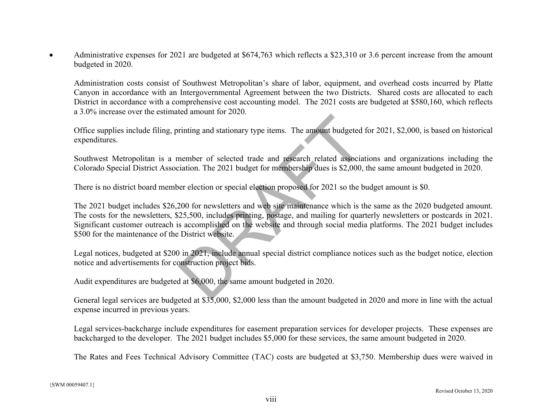$\bullet$  Administrative expenses for 2021 are budgeted at \$674,763 which reflects a \$23,310 or 3.6 percent increase from the amount budgeted in 2020.

Administration costs consist of Southwest Metropolitan's share of labor, equipment, and overhead costs incurred by Platte Canyon in accordance with an Intergovernmental Agreement between the two Districts. Shared costs are allocated to each District in accordance with a comprehensive cost accounting model. The 2021 costs are budgeted at \$580,160, which reflects a 3.0% increase over the estimated amount for 2020.

Office supplies include filing, printing and stationary type items. The amount budgeted for 2021, \$2,000, is based on historical expenditures.

Southwest Metropolitan is a member of selected trade and research related associations and organizations including the Colorado Special District Association. The 2021 budget for membership dues is \$2,000, the same amount budgeted in 2020.

There is no district board member election or special election proposed for 2021 so the budget amount is \$0.

The 2021 budget includes \$26,200 for newsletters and web site maintenance which is the same as the 2020 budgeted amount. The costs for the newsletters, \$25,500, includes printing, postage, and mailing for quarterly newsletters or postcards in 2021. Significant customer outreach is accomplished on the website and through social media platforms. The 2021 budget includes \$500 for the maintenance of the District website. Final and stationary type items. The amount budgeted<br>
member of selected trade and research related association. The 2021 budget for membership dues is \$2,000,<br>
er election or special election proposed for 2021 so the b<br>

Legal notices, budgeted at \$200 in 2021, include annual special district compliance notices such as the budget notice, election notice and advertisements for construction project bids.

Audit expenditures are budgeted at \$6,000, the same amount budgeted in 2020.

General legal services are budgeted at \$35,000, \$2,000 less than the amount budgeted in 2020 and more in line with the actual expense incurred in previous years.

Legal services-backcharge include expenditures for easement preparation services for developer projects. These expenses are backcharged to the developer. The 2021 budget includes \$5,000 for these services, the same amount budgeted in 2020.

The Rates and Fees Technical Advisory Committee (TAC) costs are budgeted at \$3,750. Membership dues were waived in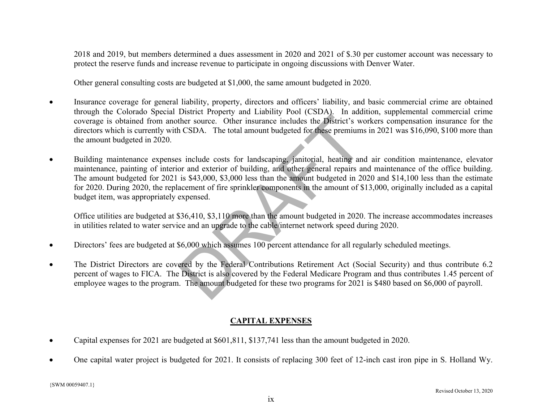2018 and 2019, but members determined a dues assessment in 2020 and 2021 of \$.30 per customer account was necessary to protect the reserve funds and increase revenue to participate in ongoing discussions with Denver Water.

Other general consulting costs are budgeted at \$1,000, the same amount budgeted in 2020.

- 0 Insurance coverage for general liability, property, directors and officers' liability, and basic commercial crime are obtained through the Colorado Special District Property and Liability Pool (CSDA). In addition, supplemental commercial crime coverage is obtained from another source. Other insurance includes the District's workers compensation insurance for the directors which is currently with CSDA. The total amount budgeted for these premiums in 2021 was \$16,090, \$100 more than the amount budgeted in 2020.
- $\bullet$  Building maintenance expenses include costs for landscaping, janitorial, heating and air condition maintenance, elevator maintenance, painting of interior and exterior of building, and other general repairs and maintenance of the office building. The amount budgeted for 2021 is \$43,000, \$3,000 less than the amount budgeted in 2020 and \$14,100 less than the estimate for 2020. During 2020, the replacement of fire sprinkler components in the amount of \$13,000, originally included as a capital budget item, was appropriately expensed. From Front Trumper in Summer includes the District's weaken ther source. Other insurance includes the District's weak of CSDA. The total amount budgeted for these premiums or and exterior of building, and other general rep

Office utilities are budgeted at \$36,410, \$3,110 more than the amount budgeted in 2020. The increase accommodates increases in utilities related to water service and an upgrade to the cable/internet network speed during 2020.

- $\bullet$ Directors' fees are budgeted at \$6,000 which assumes 100 percent attendance for all regularly scheduled meetings.
- $\bullet$  The District Directors are covered by the Federal Contributions Retirement Act (Social Security) and thus contribute 6.2 percent of wages to FICA. The District is also covered by the Federal Medicare Program and thus contributes 1.45 percent of employee wages to the program. The amount budgeted for these two programs for 2021 is \$480 based on \$6,000 of payroll.

# **CAPITAL EXPENSES**

- $\bullet$ Capital expenses for 2021 are budgeted at \$601,811, \$137,741 less than the amount budgeted in 2020.
- 0 One capital water project is budgeted for 2021. It consists of replacing 300 feet of 12-inch cast iron pipe in S. Holland Wy.

{SWM 00059407.1}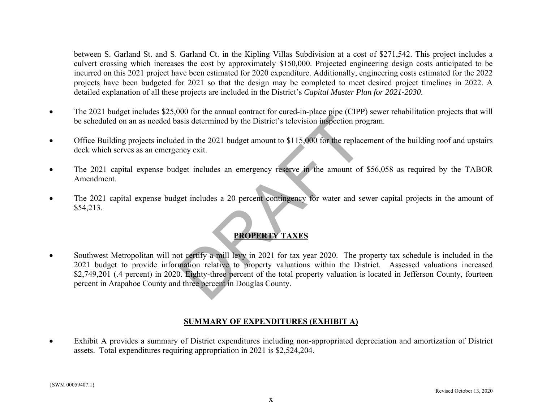between S. Garland St. and S. Garland Ct. in the Kipling Villas Subdivision at a cost of \$271,542. This project includes a culvert crossing which increases the cost by approximately \$150,000. Projected engineering design costs anticipated to be incurred on this 2021 project have been estimated for 2020 expenditure. Additionally, engineering costs estimated for the 2022 projects have been budgeted for 2021 so that the design may be completed to meet desired project timelines in 2022. A detailed explanation of all these projects are included in the District's *Capital Master Plan for 2021-2030*.

- $\bullet$  The 2021 budget includes \$25,000 for the annual contract for cured-in-place pipe (CIPP) sewer rehabilitation projects that will be scheduled on an as needed basis determined by the District's television inspection program.
- $\bullet$  Office Building projects included in the 2021 budget amount to \$115,000 for the replacement of the building roof and upstairs deck which serves as an emergency exit.
- $\bullet$  The 2021 capital expense budget includes an emergency reserve in the amount of \$56,058 as required by the TABOR Amendment.
- $\bullet$  The 2021 capital expense budget includes a 20 percent contingency for water and sewer capital projects in the amount of \$54,213.

# **PROPERTY TAXES**

 $\bullet$  Southwest Metropolitan will not certify a mill levy in 2021 for tax year 2020. The property tax schedule is included in the 2021 budget to provide information relative to property valuations within the District. Assessed valuations increased \$2,749,201 (.4 percent) in 2020. Eighty-three percent of the total property valuation is located in Jefferson County, fourteen percent in Arapahoe County and three percent in Douglas County. Solution is determined by the District's television inspection provided in the 2021 budget amount to \$115,000 for the replace and year.<br>Example 2021 budget amount to \$115,000 for the replace and year.<br>Example 20 percent co

#### **SUMMARY OF EXPENDITURES (EXHIBIT A)**

. Exhibit A provides a summary of District expenditures including non-appropriated depreciation and amortization of District assets. Total expenditures requiring appropriation in 2021 is \$2,524,204.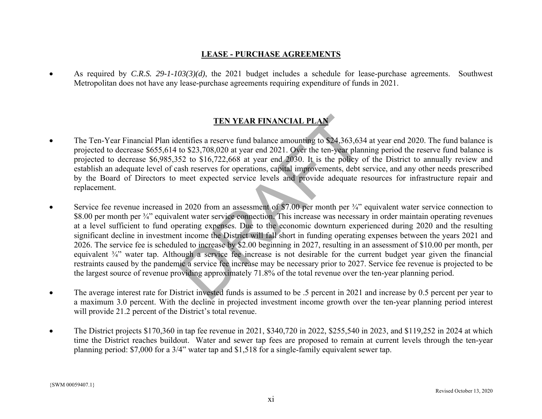#### **LEASE - PURCHASE AGREEMENTS**

. As required by *C.R.S. 29-1-103(3)(d)*, the 2021 budget includes a schedule for lease-purchase agreements. Southwest Metropolitan does not have any lease-purchase agreements requiring expenditure of funds in 2021.

# **TEN YEAR FINANCIAL PLAN**

- $\bullet$  The Ten-Year Financial Plan identifies a reserve fund balance amounting to \$24,363,634 at year end 2020. The fund balance is projected to decrease \$655,614 to \$23,708,020 at year end 2021. Over the ten-year planning period the reserve fund balance is projected to decrease \$6,985,352 to \$16,722,668 at year end 2030. It is the policy of the District to annually review and establish an adequate level of cash reserves for operations, capital improvements, debt service, and any other needs prescribed by the Board of Directors to meet expected service levels and provide adequate resources for infrastructure repair and replacement.
- $\bullet$  Service fee revenue increased in 2020 from an assessment of \$7.00 per month per ¾" equivalent water service connection to \$8.00 per month per <sup>3</sup>/4" equivalent water service connection. This increase was necessary in order maintain operating revenues at a level sufficient to fund operating expenses. Due to the economic downturn experienced during 2020 and the resulting significant decline in investment income the District will fall short in funding operating expenses between the years 2021 and 2026. The service fee is scheduled to increase by \$2.00 beginning in 2027, resulting in an assessment of \$10.00 per month, per equivalent ¾" water tap. Although a service fee increase is not desirable for the current budget year given the financial restraints caused by the pandemic a service fee increase may be necessary prior to 2027. Service fee revenue is projected to be the largest source of revenue providing approximately 71.8% of the total revenue over the ten-year planning period. **TEN YEAR FINANCIAL PLAN**<br>entifies a reserve fund balance amounting to \$24,363,634<br>to \$23,708,020 at year end 2021. Over the ten-year plan<br>52 to \$16,722,668 at year end 2030. It is the policy c<br>ash reserves for operations
- 0 The average interest rate for District invested funds is assumed to be .5 percent in 2021 and increase by 0.5 percent per year to a maximum 3.0 percent. With the decline in projected investment income growth over the ten-year planning period interest will provide 21.2 percent of the District's total revenue.
- $\bullet$  The District projects \$170,360 in tap fee revenue in 2021, \$340,720 in 2022, \$255,540 in 2023, and \$119,252 in 2024 at which time the District reaches buildout. Water and sewer tap fees are proposed to remain at current levels through the ten-year planning period: \$7,000 for a 3/4" water tap and \$1,518 for a single-family equivalent sewer tap.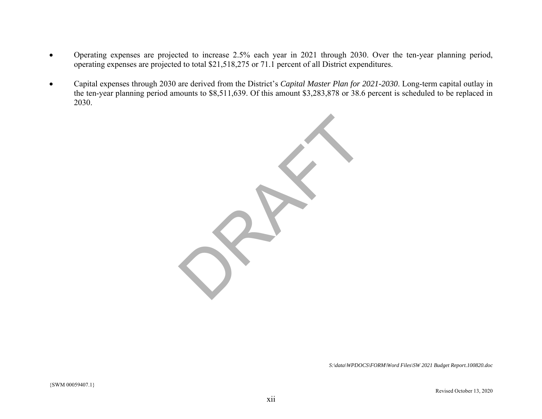- $\bullet$  Operating expenses are projected to increase 2.5% each year in 2021 through 2030. Over the ten-year planning period, operating expenses are projected to total \$21,518,275 or 71.1 percent of all District expenditures.
- $\bullet$  Capital expenses through 2030 are derived from the District's *Capital Master Plan for 2021-2030*. Long-term capital outlay in the ten-year planning period amounts to \$8,511,639. Of this amount \$3,283,878 or 38.6 percent is scheduled to be replaced in 2030.



*S:\data\WPDOCS\FORM\Word Files\SW 2021 Budget Report.100820.doc*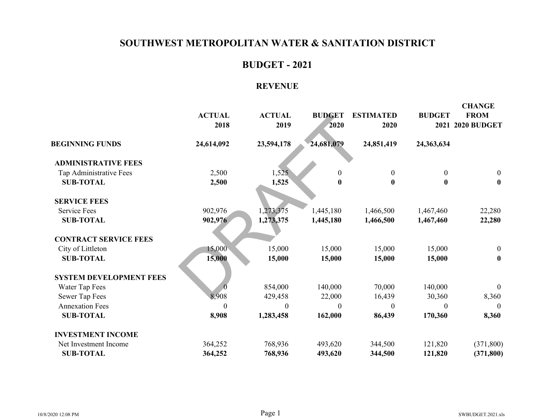# **BUDGET - 2021**

# **REVENUE**

|                                | <b>ACTUAL</b><br>2018 | <b>ACTUAL</b><br>2019 | <b>BUDGET</b><br>2020 | <b>ESTIMATED</b><br>2020 | <b>BUDGET</b>    | <b>CHANGE</b><br><b>FROM</b><br>2021 2020 BUDGET |
|--------------------------------|-----------------------|-----------------------|-----------------------|--------------------------|------------------|--------------------------------------------------|
| <b>BEGINNING FUNDS</b>         | 24,614,092            | 23,594,178            | 24,681,079            | 24,851,419               | 24,363,634       |                                                  |
| <b>ADMINISTRATIVE FEES</b>     |                       |                       |                       |                          |                  |                                                  |
| Tap Administrative Fees        | 2,500                 | 1,525                 | $\theta$              | $\boldsymbol{0}$         | $\boldsymbol{0}$ | $\mathbf{0}$                                     |
| <b>SUB-TOTAL</b>               | 2,500                 | 1,525                 | $\boldsymbol{0}$      | $\boldsymbol{0}$         | $\bf{0}$         | $\bf{0}$                                         |
| <b>SERVICE FEES</b>            |                       |                       |                       |                          |                  |                                                  |
| <b>Service Fees</b>            | 902,976               | 1,273,375             | 1,445,180             | 1,466,500                | 1,467,460        | 22,280                                           |
| <b>SUB-TOTAL</b>               | 902,976               | 1,273,375             | 1,445,180             | 1,466,500                | 1,467,460        | 22,280                                           |
| <b>CONTRACT SERVICE FEES</b>   |                       |                       |                       |                          |                  |                                                  |
| City of Littleton              | 15,000                | 15,000                | 15,000                | 15,000                   | 15,000           | $\boldsymbol{0}$                                 |
| <b>SUB-TOTAL</b>               | 15,000                | 15,000                | 15,000                | 15,000                   | 15,000           | $\bf{0}$                                         |
| <b>SYSTEM DEVELOPMENT FEES</b> |                       |                       |                       |                          |                  |                                                  |
| Water Tap Fees                 |                       | 854,000               | 140,000               | 70,000                   | 140,000          | $\mathbf{0}$                                     |
| Sewer Tap Fees                 | 8,908                 | 429,458               | 22,000                | 16,439                   | 30,360           | 8,360                                            |
| <b>Annexation Fees</b>         | $\theta$              | $\theta$              | $\theta$              | $\boldsymbol{0}$         | $\boldsymbol{0}$ | $\boldsymbol{0}$                                 |
| <b>SUB-TOTAL</b>               | 8,908                 | 1,283,458             | 162,000               | 86,439                   | 170,360          | 8,360                                            |
| <b>INVESTMENT INCOME</b>       |                       |                       |                       |                          |                  |                                                  |
| Net Investment Income          | 364,252               | 768,936               | 493,620               | 344,500                  | 121,820          | (371, 800)                                       |
| <b>SUB-TOTAL</b>               | 364,252               | 768,936               | 493,620               | 344,500                  | 121,820          | (371, 800)                                       |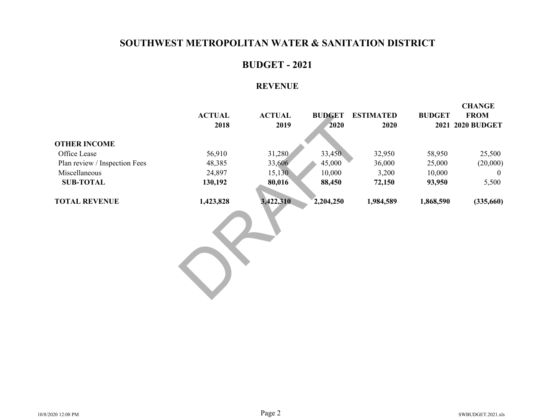### **BUDGET - 2021**

#### **REVENUE**

|                               |               |               |               |                  |               | <b>CHANGE</b>    |
|-------------------------------|---------------|---------------|---------------|------------------|---------------|------------------|
|                               | <b>ACTUAL</b> | <b>ACTUAL</b> | <b>BUDGET</b> | <b>ESTIMATED</b> | <b>BUDGET</b> | <b>FROM</b>      |
|                               | 2018          | 2019          | 2020          | 2020             |               | 2021 2020 BUDGET |
|                               |               |               |               |                  |               |                  |
| <b>OTHER INCOME</b>           |               |               |               |                  |               |                  |
| Office Lease                  | 56,910        | 31,280        | 33,450        | 32,950           | 58,950        | 25,500           |
| Plan review / Inspection Fees | 48,385        | 33,606        | 45,000        | 36,000           | 25,000        | (20,000)         |
| Miscellaneous                 | 24,897        | 15,130        | 10,000        | 3,200            | 10,000        | $\theta$         |
| <b>SUB-TOTAL</b>              | 130,192       | 80,016        | 88,450        | 72,150           | 93,950        | 5,500            |
| <b>TOTAL REVENUE</b>          | 1,423,828     | 3,422,310     | 2,204,250     | 1,984,589        | 1,868,590     | (335,660)        |
|                               |               |               |               |                  |               |                  |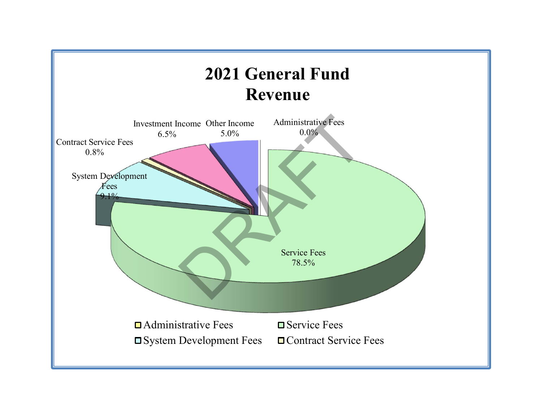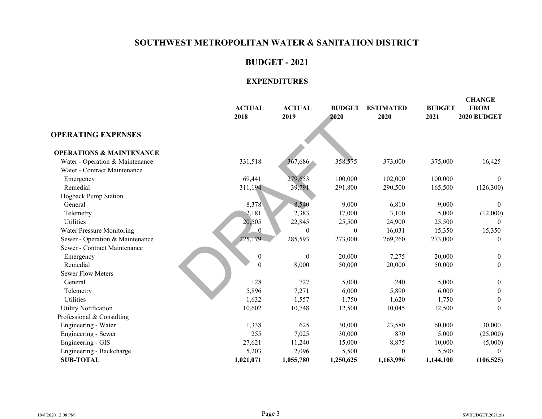# **BUDGET - 2021**

|                                     |                       |                       |                       |                          | <b>BUDGET</b> | <b>CHANGE</b><br><b>FROM</b> |
|-------------------------------------|-----------------------|-----------------------|-----------------------|--------------------------|---------------|------------------------------|
|                                     | <b>ACTUAL</b><br>2018 | <b>ACTUAL</b><br>2019 | <b>BUDGET</b><br>2020 | <b>ESTIMATED</b><br>2020 | 2021          | 2020 BUDGET                  |
| <b>OPERATING EXPENSES</b>           |                       |                       |                       |                          |               |                              |
| <b>OPERATIONS &amp; MAINTENANCE</b> |                       |                       |                       |                          |               |                              |
| Water - Operation & Maintenance     | 331,518               | 367,686               | 358,575               | 373,000                  | 375,000       | 16,425                       |
| Water - Contract Maintenance        |                       |                       |                       |                          |               |                              |
| Emergency                           | 69,441                | 279,653               | 100,000               | 102,000                  | 100,000       | $\theta$                     |
| Remedial                            | 311,194               | 39,791                | 291,800               | 290,500                  | 165,500       | (126,300)                    |
| Hogback Pump Station                |                       |                       |                       |                          |               |                              |
| General                             | 8,378                 | 8,540                 | 9,000                 | 6,810                    | 9,000         | $\theta$                     |
| Telemetry                           | 2,181                 | 2,383                 | 17,000                | 3,100                    | 5,000         | (12,000)                     |
| Utilities                           | 20,505                | 22,845                | 25,500                | 24,900                   | 25,500        |                              |
| Water Pressure Monitoring           | $\Omega$              | $\theta$              | $\theta$              | 16,031                   | 15,350        | 15,350                       |
| Sewer - Operation & Maintenance     | 225,179               | 285,593               | 273,000               | 269,260                  | 273,000       | $\boldsymbol{0}$             |
| Sewer - Contract Maintenance        |                       |                       |                       |                          |               |                              |
| Emergency                           | $\boldsymbol{0}$      | $\boldsymbol{0}$      | 20,000                | 7,275                    | 20,000        | $\boldsymbol{0}$             |
| Remedial                            | $\boldsymbol{0}$      | 8,000                 | 50,000                | 20,000                   | 50,000        | $\mathbf{0}$                 |
| <b>Sewer Flow Meters</b>            |                       |                       |                       |                          |               |                              |
| General                             | 128                   | 727                   | 5,000                 | 240                      | 5,000         | $\boldsymbol{0}$             |
| Telemetry                           | 5,896                 | 7,271                 | 6,000                 | 5,890                    | 6,000         | $\boldsymbol{0}$             |
| <b>Utilities</b>                    | 1,632                 | 1,557                 | 1,750                 | 1,620                    | 1,750         | $\boldsymbol{0}$             |
| <b>Utility Notification</b>         | 10,602                | 10,748                | 12,500                | 10,045                   | 12,500        | $\theta$                     |
| Professional & Consulting           |                       |                       |                       |                          |               |                              |
| Engineering - Water                 | 1,338                 | 625                   | 30,000                | 23,580                   | 60,000        | 30,000                       |
| Engineering - Sewer                 | 255                   | 7,025                 | 30,000                | 870                      | 5,000         | (25,000)                     |
| Engineering - GIS                   | 27,621                | 11,240                | 15,000                | 8,875                    | 10,000        | (5,000)                      |
| Engineering - Backcharge            | 5,203                 | 2,096                 | 5,500                 | $\Omega$                 | 5,500         |                              |
| <b>SUB-TOTAL</b>                    | 1,021,071             | 1,055,780             | 1,250,625             | 1,163,996                | 1,144,100     | (106, 525)                   |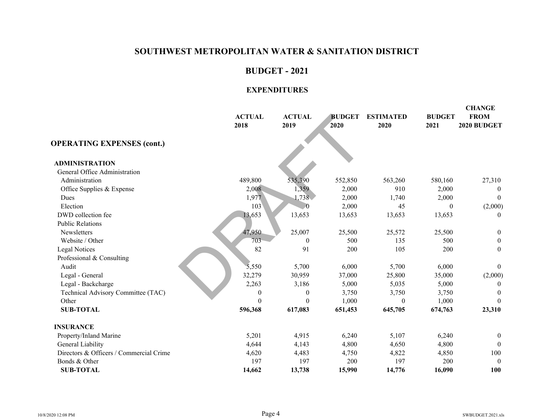#### **BUDGET - 2021**

|                                         | <b>ACTUAL</b><br>2018 | <b>ACTUAL</b><br>2019 | <b>BUDGET</b><br>2020 | <b>ESTIMATED</b><br>2020 | <b>BUDGET</b><br>2021 | <b>CHANGE</b><br><b>FROM</b><br>2020 BUDGET |
|-----------------------------------------|-----------------------|-----------------------|-----------------------|--------------------------|-----------------------|---------------------------------------------|
| <b>OPERATING EXPENSES (cont.)</b>       |                       |                       |                       |                          |                       |                                             |
| <b>ADMINISTRATION</b>                   |                       |                       |                       |                          |                       |                                             |
| General Office Administration           |                       |                       |                       |                          |                       |                                             |
| Administration                          | 489,800               | 535,390               | 552,850               | 563,260                  | 580,160               | 27,310                                      |
| Office Supplies & Expense               | 2,008                 | 1,359                 | 2,000                 | 910                      | 2,000                 | $\theta$                                    |
| <b>Dues</b>                             | 1,977                 | 1,738                 | 2,000                 | 1,740                    | 2,000                 | $\theta$                                    |
| Election                                | 103                   | $\Omega$              | 2,000                 | 45                       | $\theta$              | (2,000)                                     |
| DWD collection fee                      | 13,653                | 13,653                | 13,653                | 13,653                   | 13,653                | $\theta$                                    |
| <b>Public Relations</b>                 |                       |                       |                       |                          |                       |                                             |
| Newsletters                             | 47,950                | 25,007                | 25,500                | 25,572                   | 25,500                | $\mathbf{0}$                                |
| Website / Other                         | 703                   | $\theta$              | 500                   | 135                      | 500                   | $\boldsymbol{0}$                            |
| <b>Legal Notices</b>                    | 82                    | 91                    | 200                   | 105                      | 200                   | $\boldsymbol{0}$                            |
| Professional & Consulting               |                       |                       |                       |                          |                       |                                             |
| Audit                                   | 5,550                 | 5,700                 | 6,000                 | 5,700                    | 6,000                 | $\mathbf{0}$                                |
| Legal - General                         | 32,279                | 30,959                | 37,000                | 25,800                   | 35,000                | (2,000)                                     |
| Legal - Backcharge                      | 2,263                 | 3,186                 | 5,000                 | 5,035                    | 5,000                 | $\theta$                                    |
| Technical Advisory Committee (TAC)      | $\boldsymbol{0}$      | $\theta$              | 3,750                 | 3,750                    | 3,750                 | $\theta$                                    |
| Other                                   | $\Omega$              | $\theta$              | 1,000                 | $\mathbf{0}$             | 1,000                 | $\Omega$                                    |
| <b>SUB-TOTAL</b>                        | 596,368               | 617,083               | 651,453               | 645,705                  | 674,763               | 23,310                                      |
| <b>INSURANCE</b>                        |                       |                       |                       |                          |                       |                                             |
| Property/Inland Marine                  | 5,201                 | 4,915                 | 6,240                 | 5,107                    | 6,240                 | $\boldsymbol{0}$                            |
| General Liability                       | 4,644                 | 4,143                 | 4,800                 | 4,650                    | 4,800                 | $\Omega$                                    |
| Directors & Officers / Commercial Crime | 4,620                 | 4,483                 | 4,750                 | 4,822                    | 4,850                 | 100                                         |
| Bonds & Other                           | 197                   | 197                   | 200                   | 197                      | 200                   | $\Omega$                                    |
| <b>SUB-TOTAL</b>                        | 14,662                | 13,738                | 15,990                | 14,776                   | 16,090                | 100                                         |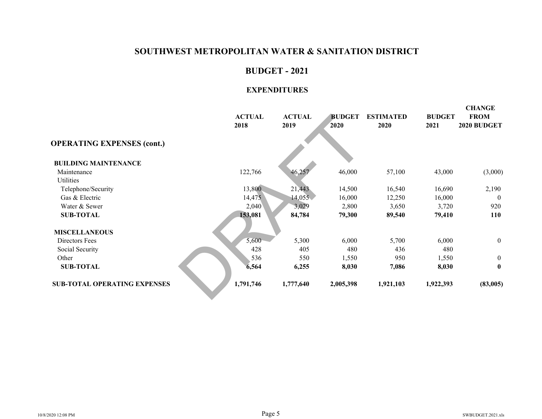#### **BUDGET - 2021**

|                                     | <b>ACTUAL</b><br>2018 | <b>ACTUAL</b><br>2019 | <b>BUDGET</b><br>2020 | <b>ESTIMATED</b><br>2020 | <b>BUDGET</b><br>2021 | <b>CHANGE</b><br><b>FROM</b><br>2020 BUDGET |
|-------------------------------------|-----------------------|-----------------------|-----------------------|--------------------------|-----------------------|---------------------------------------------|
| <b>OPERATING EXPENSES (cont.)</b>   |                       |                       |                       |                          |                       |                                             |
| <b>BUILDING MAINTENANCE</b>         |                       |                       |                       |                          |                       |                                             |
| Maintenance                         | 122,766               | 46,257                | 46,000                | 57,100                   | 43,000                | (3,000)                                     |
| Utilities                           |                       |                       |                       |                          |                       |                                             |
| Telephone/Security                  | 13,800                | 21,443                | 14,500                | 16,540                   | 16,690                | 2,190                                       |
| Gas & Electric                      | 14,475                | 14,055                | 16,000                | 12,250                   | 16,000                | $\Omega$                                    |
| Water & Sewer                       | 2,040                 | 3,029                 | 2,800                 | 3,650                    | 3,720                 | 920                                         |
| <b>SUB-TOTAL</b>                    | 153,081               | 84,784                | 79,300                | 89,540                   | 79,410                | <b>110</b>                                  |
| <b>MISCELLANEOUS</b>                |                       |                       |                       |                          |                       |                                             |
| Directors Fees                      | 5,600                 | 5,300                 | 6,000                 | 5,700                    | 6,000                 | $\overline{0}$                              |
| Social Security                     | 428                   | 405                   | 480                   | 436                      | 480                   |                                             |
| Other                               | 536                   | 550                   | 1,550                 | 950                      | 1,550                 | $\theta$                                    |
| <b>SUB-TOTAL</b>                    | 6,564                 | 6,255                 | 8,030                 | 7,086                    | 8,030                 | $\mathbf{0}$                                |
| <b>SUB-TOTAL OPERATING EXPENSES</b> | 1,791,746             | 1,777,640             | 2,005,398             | 1,921,103                | 1,922,393             | (83,005)                                    |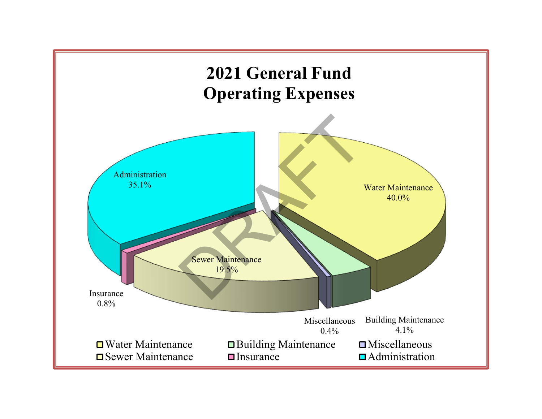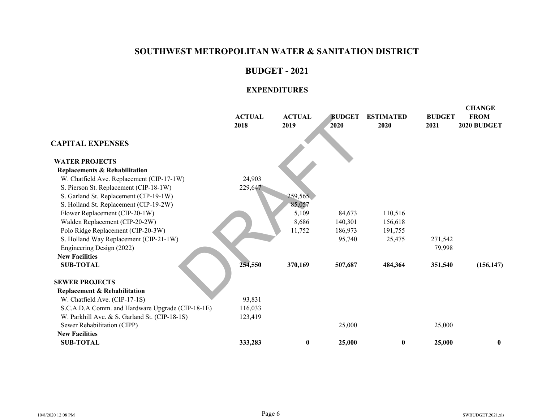#### **BUDGET - 2021**

|                                                                                                   | <b>ACTUAL</b><br>2018 | <b>ACTUAL</b><br>2019 | <b>BUDGET</b><br>2020 | <b>ESTIMATED</b><br>2020 | <b>BUDGET</b><br>2021 | <b>CHANGE</b><br><b>FROM</b><br>2020 BUDGET |
|---------------------------------------------------------------------------------------------------|-----------------------|-----------------------|-----------------------|--------------------------|-----------------------|---------------------------------------------|
| <b>CAPITAL EXPENSES</b>                                                                           |                       |                       |                       |                          |                       |                                             |
| <b>WATER PROJECTS</b>                                                                             |                       |                       |                       |                          |                       |                                             |
| <b>Replacements &amp; Rehabilitation</b>                                                          |                       |                       |                       |                          |                       |                                             |
| W. Chatfield Ave. Replacement (CIP-17-1W)                                                         | 24,903                |                       |                       |                          |                       |                                             |
| S. Pierson St. Replacement (CIP-18-1W)                                                            | 229,647               |                       |                       |                          |                       |                                             |
| S. Garland St. Replacement (CIP-19-1W)                                                            |                       | 259,565               |                       |                          |                       |                                             |
| S. Holland St. Replacement (CIP-19-2W)                                                            |                       | 85,057                |                       |                          |                       |                                             |
| Flower Replacement (CIP-20-1W)                                                                    |                       | 5,109                 | 84,673                | 110,516                  |                       |                                             |
| Walden Replacement (CIP-20-2W)                                                                    |                       | 8,686                 | 140,301               | 156,618                  |                       |                                             |
| Polo Ridge Replacement (CIP-20-3W)                                                                |                       | 11,752                | 186,973               | 191,755                  |                       |                                             |
| S. Holland Way Replacement (CIP-21-1W)                                                            |                       |                       | 95,740                | 25,475                   | 271,542               |                                             |
| Engineering Design (2022)                                                                         |                       |                       |                       |                          | 79,998                |                                             |
| <b>New Facilities</b>                                                                             |                       |                       |                       |                          |                       |                                             |
| <b>SUB-TOTAL</b>                                                                                  | 254,550               | 370,169               | 507,687               | 484,364                  | 351,540               | (156, 147)                                  |
| <b>SEWER PROJECTS</b>                                                                             |                       |                       |                       |                          |                       |                                             |
| <b>Replacement &amp; Rehabilitation</b>                                                           |                       |                       |                       |                          |                       |                                             |
| W. Chatfield Ave. (CIP-17-1S)                                                                     | 93,831                |                       |                       |                          |                       |                                             |
| S.C.A.D.A Comm. and Hardware Upgrade (CIP-18-1E)<br>W. Parkhill Ave. & S. Garland St. (CIP-18-1S) | 116,033<br>123,419    |                       |                       |                          |                       |                                             |
| Sewer Rehabilitation (CIPP)                                                                       |                       |                       | 25,000                |                          | 25,000                |                                             |
| <b>New Facilities</b>                                                                             |                       |                       |                       |                          |                       |                                             |
| <b>SUB-TOTAL</b>                                                                                  | 333,283               | $\pmb{0}$             | 25,000                | $\boldsymbol{0}$         | 25,000                | $\bf{0}$                                    |
|                                                                                                   |                       |                       |                       |                          |                       |                                             |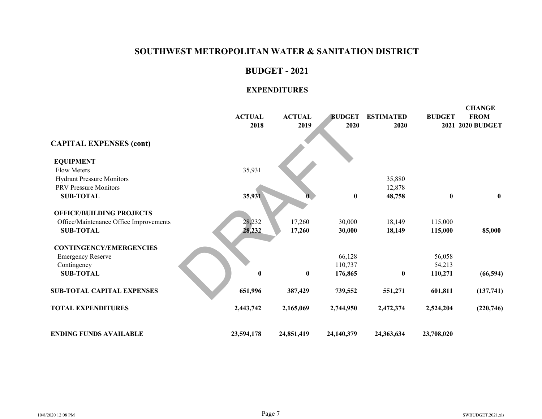#### **BUDGET - 2021**

|                                        | <b>ACTUAL</b><br>2018 | <b>ACTUAL</b><br>2019 | <b>BUDGET</b><br>2020 | <b>ESTIMATED</b><br>2020 | <b>BUDGET</b> | <b>CHANGE</b><br><b>FROM</b><br>2021 2020 BUDGET |
|----------------------------------------|-----------------------|-----------------------|-----------------------|--------------------------|---------------|--------------------------------------------------|
| <b>CAPITAL EXPENSES (cont)</b>         |                       |                       |                       |                          |               |                                                  |
| <b>EQUIPMENT</b>                       |                       |                       |                       |                          |               |                                                  |
| <b>Flow Meters</b>                     | 35,931                |                       |                       |                          |               |                                                  |
| <b>Hydrant Pressure Monitors</b>       |                       |                       |                       | 35,880                   |               |                                                  |
| <b>PRV</b> Pressure Monitors           |                       |                       |                       | 12,878                   |               |                                                  |
| <b>SUB-TOTAL</b>                       | 35,931                |                       | $\pmb{0}$             | 48,758                   | $\bf{0}$      | $\bf{0}$                                         |
| <b>OFFICE/BUILDING PROJECTS</b>        |                       |                       |                       |                          |               |                                                  |
| Office/Maintenance Office Improvements | 28,232                | 17,260                | 30,000                | 18,149                   | 115,000       |                                                  |
| <b>SUB-TOTAL</b>                       | 28,232                | 17,260                | 30,000                | 18,149                   | 115,000       | 85,000                                           |
| <b>CONTINGENCY/EMERGENCIES</b>         |                       |                       |                       |                          |               |                                                  |
| <b>Emergency Reserve</b>               |                       |                       | 66,128                |                          | 56,058        |                                                  |
| Contingency                            |                       |                       | 110,737               |                          | 54,213        |                                                  |
| <b>SUB-TOTAL</b>                       | $\bf{0}$              | $\bf{0}$              | 176,865               | $\bf{0}$                 | 110,271       | (66, 594)                                        |
| <b>SUB-TOTAL CAPITAL EXPENSES</b>      | 651,996               | 387,429               | 739,552               | 551,271                  | 601,811       | (137,741)                                        |
| <b>TOTAL EXPENDITURES</b>              | 2,443,742             | 2,165,069             | 2,744,950             | 2,472,374                | 2,524,204     | (220, 746)                                       |
| <b>ENDING FUNDS AVAILABLE</b>          | 23,594,178            | 24,851,419            | 24,140,379            | 24,363,634               | 23,708,020    |                                                  |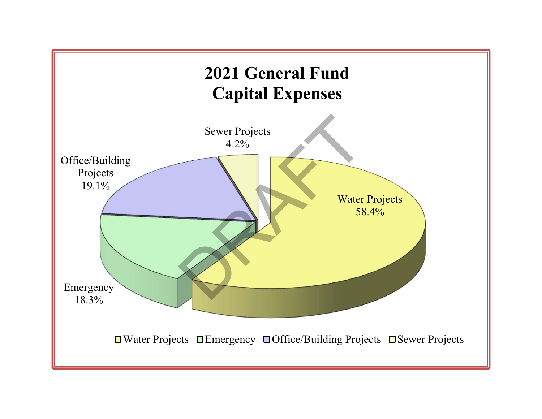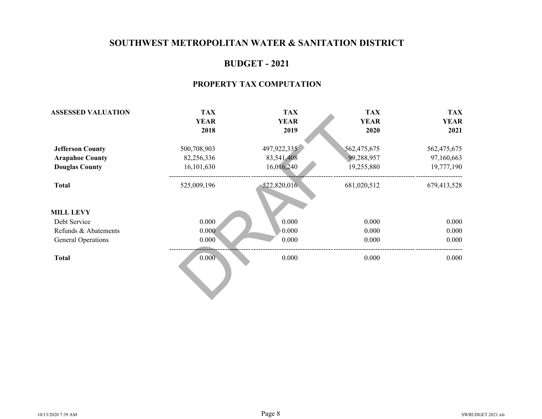### **BUDGET - 2021**

#### **PROPERTY TAX COMPUTATION**

| <b>ASSESSED VALUATION</b> | <b>TAX</b>  | <b>TAX</b>  | <b>TAX</b>  | <b>TAX</b>  |
|---------------------------|-------------|-------------|-------------|-------------|
|                           | <b>YEAR</b> | <b>YEAR</b> | <b>YEAR</b> | <b>YEAR</b> |
|                           | 2018        | 2019        | 2020        | 2021        |
| <b>Jefferson County</b>   | 500,708,903 | 497,922,335 | 562,475,675 | 562,475,675 |
| <b>Arapahoe County</b>    | 82,256,336  | 83,541,408  | 99,288,957  | 97,160,663  |
| <b>Douglas County</b>     | 16,101,630  | 16,016,240  | 19,255,880  | 19,777,190  |
| <b>Total</b>              | 525,009,196 | 522,820,016 | 681,020,512 | 679,413,528 |
| <b>MILL LEVY</b>          |             |             |             |             |
| Debt Service              | 0.000       | 0.000       | 0.000       | 0.000       |
| Refunds & Abatements      | 0.000       | 0.000       | 0.000       | 0.000       |
| General Operations        | 0.000       | 0.000       | 0.000       | 0.000       |
| <b>Total</b>              | 0.000       | 0.000       | 0.000       | 0.000       |
|                           |             |             |             |             |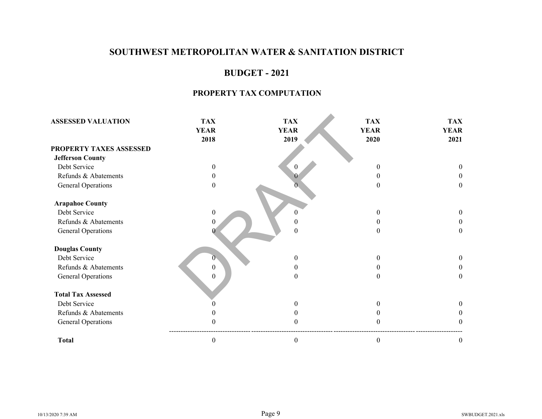# **BUDGET - 2021**

#### **PROPERTY TAX COMPUTATION**

| <b>ASSESSED VALUATION</b> | <b>TAX</b><br><b>YEAR</b><br>2018 | <b>TAX</b><br><b>YEAR</b><br>2019 | <b>TAX</b><br><b>YEAR</b><br>2020 | <b>TAX</b><br><b>YEAR</b><br>2021 |
|---------------------------|-----------------------------------|-----------------------------------|-----------------------------------|-----------------------------------|
| PROPERTY TAXES ASSESSED   |                                   |                                   |                                   |                                   |
| <b>Jefferson County</b>   |                                   |                                   |                                   |                                   |
| Debt Service              | $\Omega$                          | $\boldsymbol{0}$                  | 0                                 | $\Omega$                          |
| Refunds & Abatements      |                                   | $\theta$                          | 0                                 | 0                                 |
| General Operations        | $\Omega$                          |                                   | 0                                 | $\theta$                          |
| <b>Arapahoe County</b>    |                                   |                                   |                                   |                                   |
| Debt Service              | $\mathbf{0}$                      | $\Omega$                          | 0                                 | $\Omega$                          |
| Refunds & Abatements      | $\theta$                          |                                   | 0                                 | $\theta$                          |
| <b>General Operations</b> |                                   | $\theta$                          | 0                                 | $\theta$                          |
| <b>Douglas County</b>     |                                   |                                   |                                   |                                   |
| Debt Service              |                                   | $\theta$                          | 0                                 | $\theta$                          |
| Refunds & Abatements      | $\overline{0}$                    | $\theta$                          |                                   | $\theta$                          |
| <b>General Operations</b> | $\theta$                          | $\boldsymbol{0}$                  |                                   | $\boldsymbol{0}$                  |
| <b>Total Tax Assessed</b> |                                   |                                   |                                   |                                   |
| Debt Service              |                                   | $\theta$                          | $\theta$                          | $\theta$                          |
| Refunds & Abatements      |                                   | $\theta$                          |                                   | 0                                 |
| <b>General Operations</b> |                                   | $\Omega$                          |                                   | 0                                 |
| <b>Total</b>              | $\boldsymbol{0}$                  | $\boldsymbol{0}$                  | 0                                 | $\boldsymbol{0}$                  |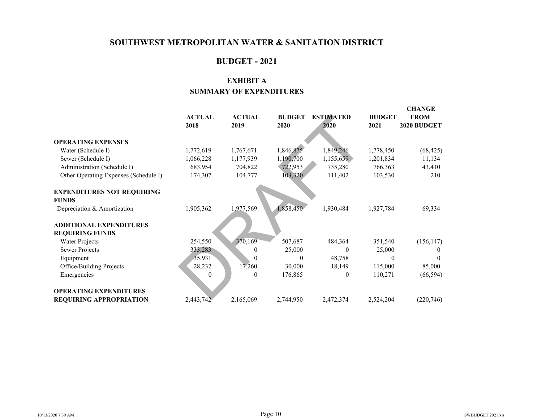# **BUDGET - 2021**

# **EXHIBIT ASUMMARY OF EXPENDITURES**

|                                       |               |               |               |                  |               | CHANGE      |
|---------------------------------------|---------------|---------------|---------------|------------------|---------------|-------------|
|                                       | <b>ACTUAL</b> | <b>ACTUAL</b> | <b>BUDGET</b> | <b>ESTIMATED</b> | <b>BUDGET</b> | <b>FROM</b> |
|                                       | 2018          | 2019          | 2020          | 2020             | 2021          | 2020 BUDGET |
|                                       |               |               |               |                  |               |             |
| <b>OPERATING EXPENSES</b>             |               |               |               |                  |               |             |
| Water (Schedule I)                    | 1,772,619     | 1,767,671     | 1,846,875     | 1,849,246        | 1,778,450     | (68, 425)   |
| Sewer (Schedule I)                    | 1,066,228     | 1,177,939     | 1,190,700     | 1,155,659        | 1,201,834     | 11,134      |
| Administration (Schedule I)           | 683,954       | 704,822       | 722,953       | 735,280          | 766,363       | 43,410      |
| Other Operating Expenses (Schedule I) | 174,307       | 104,777       | 103,320       | 111,402          | 103,530       | 210         |
|                                       |               |               |               |                  |               |             |
| <b>EXPENDITURES NOT REQUIRING</b>     |               |               |               |                  |               |             |
| <b>FUNDS</b>                          |               |               |               |                  |               |             |
| Depreciation & Amortization           | 1,905,362     | 1,977,569     | 1,858,450     | 1,930,484        | 1,927,784     | 69,334      |
| <b>ADDITIONAL EXPENDITURES</b>        |               |               |               |                  |               |             |
|                                       |               |               |               |                  |               |             |
| <b>REQUIRING FUNDS</b>                |               |               |               |                  |               |             |
| Water Projects                        | 254,550       | 370,169       | 507,687       | 484,364          | 351,540       | (156, 147)  |
| <b>Sewer Projects</b>                 | 333,283       | $\theta$      | 25,000        | $\theta$         | 25,000        |             |
| Equipment                             | 35,931        | $\Omega$      | $\Omega$      | 48,758           | 0             |             |
| Office/Building Projects              | 28,232        | 17,260        | 30,000        | 18,149           | 115,000       | 85,000      |
| Emergencies                           | $\theta$      | $\mathbf{0}$  | 176,865       | $\theta$         | 110,271       | (66, 594)   |
|                                       |               |               |               |                  |               |             |
| <b>OPERATING EXPENDITURES</b>         |               |               |               |                  |               |             |
| <b>REQUIRING APPROPRIATION</b>        | 2,443,742     | 2,165,069     | 2,744,950     | 2,472,374        | 2,524,204     | (220, 746)  |

**CHANGE**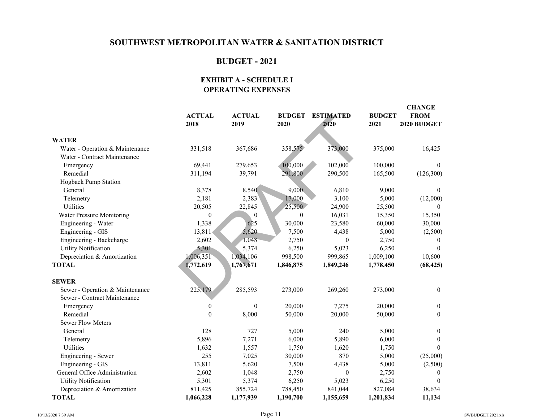# **BUDGET - 2021**

#### **EXHIBIT A - SCHEDULE I OPERATING EXPENSES**

|                                 | <b>ACTUAL</b><br>2018 | <b>ACTUAL</b><br>2019 | <b>BUDGET</b><br>2020 | <b>ESTIMATED</b><br>2020 | <b>BUDGET</b><br>2021 | <b>CHANGE</b><br><b>FROM</b><br>2020 BUDGET |
|---------------------------------|-----------------------|-----------------------|-----------------------|--------------------------|-----------------------|---------------------------------------------|
| <b>WATER</b>                    |                       |                       |                       |                          |                       |                                             |
| Water - Operation & Maintenance | 331,518               | 367,686               | 358,575               | 373,000                  | 375,000               | 16,425                                      |
| Water - Contract Maintenance    |                       |                       |                       |                          |                       |                                             |
| Emergency                       | 69,441                | 279,653               | 100,000               | 102,000                  | 100,000               | $\theta$                                    |
| Remedial                        | 311,194               | 39,791                | 291,800               | 290,500                  | 165,500               | (126,300)                                   |
| Hogback Pump Station            |                       |                       |                       |                          |                       |                                             |
| General                         | 8,378                 | 8,540                 | 9,000                 | 6,810                    | 9,000                 | $\theta$                                    |
| Telemetry                       | 2,181                 | 2,383                 | 17,000                | 3,100                    | 5,000                 | (12,000)                                    |
| Utilities                       | 20,505                | 22,845                | 25,500                | 24,900                   | 25,500                | $\Omega$                                    |
| Water Pressure Monitoring       | $\boldsymbol{0}$      | $\Omega$              | $\theta$              | 16,031                   | 15,350                | 15,350                                      |
| Engineering - Water             | 1,338                 | 625                   | 30,000                | 23,580                   | 60,000                | 30,000                                      |
| Engineering - GIS               | 13,811                | 5,620                 | 7,500                 | 4,438                    | 5,000                 | (2,500)                                     |
| Engineering - Backcharge        | 2,602                 | 1,048                 | 2,750                 | $\theta$                 | 2,750                 | $\theta$                                    |
| <b>Utility Notification</b>     | 5,301                 | 5,374                 | 6,250                 | 5,023                    | 6,250                 | $\Omega$                                    |
| Depreciation & Amortization     | 1,006,351             | 1,034,106             | 998,500               | 999,865                  | 1,009,100             | 10,600                                      |
| <b>TOTAL</b>                    | 1,772,619             | 1,767,671             | 1,846,875             | 1,849,246                | 1,778,450             | (68, 425)                                   |
|                                 |                       |                       |                       |                          |                       |                                             |
| <b>SEWER</b>                    |                       |                       |                       |                          |                       |                                             |
| Sewer - Operation & Maintenance | 225,179               | 285,593               | 273,000               | 269,260                  | 273,000               | $\mathbf{0}$                                |
| Sewer - Contract Maintenance    |                       |                       |                       |                          |                       |                                             |
| Emergency                       | $\boldsymbol{0}$      | $\boldsymbol{0}$      | 20,000                | 7,275                    | 20,000                | $\boldsymbol{0}$                            |
| Remedial                        | $\overline{0}$        | 8,000                 | 50,000                | 20,000                   | 50,000                | $\theta$                                    |
| <b>Sewer Flow Meters</b>        |                       |                       |                       |                          |                       |                                             |
| General                         | 128                   | 727                   | 5,000                 | 240                      | 5,000                 | $\mathbf{0}$                                |
| Telemetry                       | 5,896                 | 7,271                 | 6,000                 | 5,890                    | 6,000                 | $\theta$                                    |
| Utilities                       | 1,632                 | 1,557                 | 1,750                 | 1,620                    | 1,750                 | $\Omega$                                    |
| Engineering - Sewer             | 255                   | 7,025                 | 30,000                | 870                      | 5,000                 | (25,000)                                    |
| Engineering - GIS               | 13,811                | 5,620                 | 7,500                 | 4,438                    | 5,000                 | (2,500)                                     |
| General Office Administration   | 2,602                 | 1,048                 | 2,750                 | $\mathbf{0}$             | 2,750                 | $\theta$                                    |
| <b>Utility Notification</b>     | 5,301                 | 5,374                 | 6,250                 | 5,023                    | 6,250                 | $\Omega$                                    |
| Depreciation & Amortization     | 811,425               | 855,724               | 788,450               | 841,044                  | 827,084               | 38,634                                      |
| <b>TOTAL</b>                    | 1,066,228             | 1,177,939             | 1,190,700             | 1,155,659                | 1,201,834             | 11,134                                      |

**CHANGE**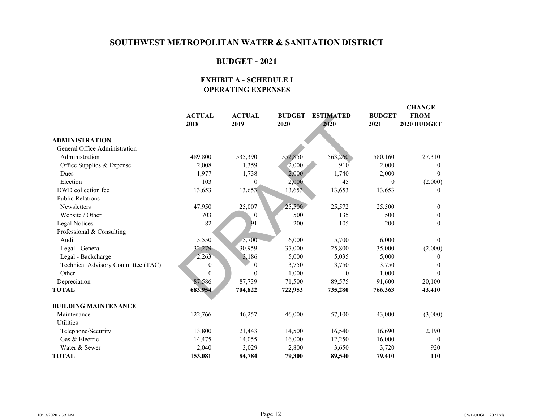# **BUDGET - 2021**

#### **EXHIBIT A - SCHEDULE I OPERATING EXPENSES**

|                                    | <b>ACTUAL</b><br>2018 | <b>ACTUAL</b><br>2019 | <b>BUDGET</b><br>2020 | <b>ESTIMATED</b><br>2020 | <b>BUDGET</b><br>2021 | <b>CHANGE</b><br><b>FROM</b><br>2020 BUDGET |
|------------------------------------|-----------------------|-----------------------|-----------------------|--------------------------|-----------------------|---------------------------------------------|
| <b>ADMINISTRATION</b>              |                       |                       |                       |                          |                       |                                             |
| General Office Administration      |                       |                       |                       |                          |                       |                                             |
| Administration                     | 489,800               | 535,390               | 552,850               | 563,260                  | 580,160               | 27,310                                      |
| Office Supplies & Expense          | 2,008                 | 1,359                 | 2,000                 | 910                      | 2,000                 | $\theta$                                    |
| Dues                               | 1,977                 | 1,738                 | 2,000                 | 1,740                    | 2,000                 | $\Omega$                                    |
| Election                           | 103                   | $\Omega$              | 2,000                 | 45                       | $\Omega$              | (2,000)                                     |
| DWD collection fee                 | 13,653                | 13,653                | 13,653                | 13,653                   | 13,653                | $\theta$                                    |
| <b>Public Relations</b>            |                       |                       |                       |                          |                       |                                             |
| Newsletters                        | 47,950                | 25,007                | 25,500                | 25,572                   | 25,500                | $\mathbf{0}$                                |
| Website / Other                    | 703                   | $\Omega$              | 500                   | 135                      | 500                   | $\mathbf{0}$                                |
| Legal Notices                      | 82                    | 91                    | 200                   | 105                      | 200                   | $\theta$                                    |
| Professional & Consulting          |                       |                       |                       |                          |                       |                                             |
| Audit                              | 5,550                 | 5,700                 | 6,000                 | 5,700                    | 6,000                 | $\theta$                                    |
| Legal - General                    | 32,279                | 30,959                | 37,000                | 25,800                   | 35,000                | (2,000)                                     |
| Legal - Backcharge                 | 2,263                 | 3,186                 | 5,000                 | 5,035                    | 5,000                 | $\theta$                                    |
| Technical Advisory Committee (TAC) | $\boldsymbol{0}$      | $\theta$              | 3,750                 | 3,750                    | 3,750                 | $\Omega$                                    |
| Other                              | $\mathbf{0}$          | $\theta$              | 1,000                 | $\boldsymbol{0}$         | 1,000                 | $\Omega$                                    |
| Depreciation                       | 87,586                | 87,739                | 71,500                | 89,575                   | 91,600                | 20,100                                      |
| <b>TOTAL</b>                       | 683,954               | 704,822               | 722,953               | 735,280                  | 766,363               | 43,410                                      |
| <b>BUILDING MAINTENANCE</b>        |                       |                       |                       |                          |                       |                                             |
| Maintenance                        | 122,766               | 46,257                | 46,000                | 57,100                   | 43,000                | (3,000)                                     |
| Utilities                          |                       |                       |                       |                          |                       |                                             |
| Telephone/Security                 | 13,800                | 21,443                | 14,500                | 16,540                   | 16,690                | 2,190                                       |
| Gas & Electric                     | 14,475                | 14,055                | 16,000                | 12,250                   | 16,000                | $\theta$                                    |
| Water & Sewer                      | 2,040                 | 3,029                 | 2,800                 | 3,650                    | 3,720                 | 920                                         |
| <b>TOTAL</b>                       | 153,081               | 84,784                | 79,300                | 89,540                   | 79,410                | <b>110</b>                                  |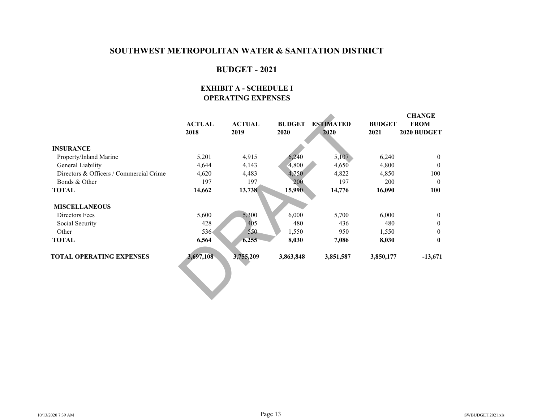### **BUDGET - 2021**

#### **EXHIBIT A - SCHEDULE I OPERATING EXPENSES**

|                                         |               |               |               |                  |               | <b>CHANGE</b> |
|-----------------------------------------|---------------|---------------|---------------|------------------|---------------|---------------|
|                                         | <b>ACTUAL</b> | <b>ACTUAL</b> | <b>BUDGET</b> | <b>ESTIMATED</b> | <b>BUDGET</b> | <b>FROM</b>   |
|                                         | 2018          | 2019          | 2020          | 2020             | 2021          | 2020 BUDGET   |
| <b>INSURANCE</b>                        |               |               |               |                  |               |               |
| Property/Inland Marine                  | 5,201         | 4,915         | 6,240         | 5,107            | 6,240         | $\theta$      |
| General Liability                       | 4,644         | 4,143         | 4,800         | 4,650            | 4,800         | $\theta$      |
| Directors & Officers / Commercial Crime | 4,620         | 4,483         | 4,750         | 4,822            | 4,850         | 100           |
| Bonds & Other                           | 197           | 197           | 200           | 197              | 200           | $\theta$      |
| <b>TOTAL</b>                            | 14,662        | 13,738        | 15,990        | 14,776           | 16,090        | 100           |
|                                         |               |               |               |                  |               |               |
| <b>MISCELLANEOUS</b>                    |               |               |               |                  |               |               |
| Directors Fees                          | 5,600         | 5,300         | 6,000         | 5,700            | 6,000         | $\theta$      |
| Social Security                         | 428           | 405           | 480           | 436              | 480           | $\mathbf{0}$  |
| Other                                   | $536 -$       | 550           | 1,550         | 950              | 1,550         | $\theta$      |
| <b>TOTAL</b>                            | 6,564         | 6,255         | 8,030         | 7,086            | 8,030         | $\bf{0}$      |
| <b>TOTAL OPERATING EXPENSES</b>         | 3,697,108     | 3,755,209     | 3,863,848     | 3,851,587        | 3,850,177     | $-13,671$     |
|                                         |               |               |               |                  |               |               |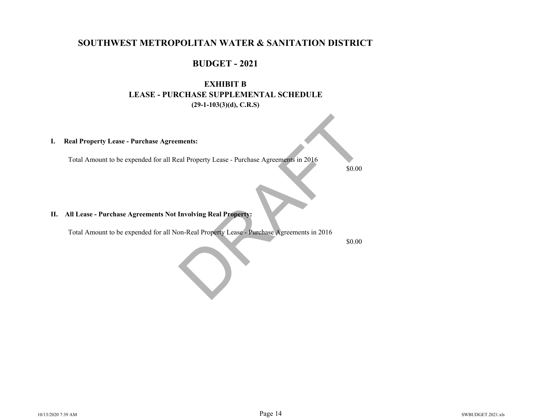### **BUDGET - 2021**

# **EXHIBIT B LEASE - PURCHASE SUPPLEMENTAL SCHEDULE(29-1-103(3)(d), C.R.S)**

#### **I. Real Property Lease - Purchase Agreements:**

Total Amount to be expended for all Real Property Lease - Purchase Agreements in 2016

\$0.00

#### **II. All Lease - Purchase Agreements Not Involving Real Property:**

 Total Amount to be expended for all Non-Real Property Lease - Purchase Agreements in 2016 ments:<br>
Example Property Lease - Purchase Agreements in 2016<br>
S0.00<br>
Involving Real Property:<br>
D.R. Property Lease - Purchase Agreements in 2016<br>
S0.00

\$0.00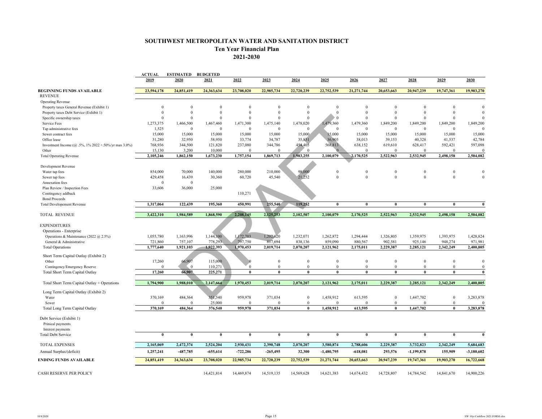#### **SOUTHWEST METROPOLITAN WATER AND SANITATION DISTRICT Ten Year Financial Plan**

**2021-2030**

|                                                              | <b>ACTUAL</b> | <b>ESTIMATED BUDGETED</b> |                |              |                |              |                |              |              |              |              |                |
|--------------------------------------------------------------|---------------|---------------------------|----------------|--------------|----------------|--------------|----------------|--------------|--------------|--------------|--------------|----------------|
|                                                              | 2019          | 2020                      | 2021           | 2022         | 2023           | 2024         | 2025           | 2026         | 2027         | 2028         | 2029         | 2030           |
| BEGINNING FUNDS AVAILABLE                                    | 23,594,178    | 24,851,419                | 24,363,634     | 23,708,020   | 22,985,734     | 22,720,239   | 22,752,539     | 21,271,744   | 20,653,663   | 20,947,239   | 19,747,361   | 19,903,270     |
| <b>REVENUE</b>                                               |               |                           |                |              |                |              |                |              |              |              |              |                |
| <b>Operating Revenue</b>                                     |               |                           |                |              |                |              |                |              |              |              |              |                |
| Property taxes General Revenue (Exhibit 1)                   | $\Omega$      | $\Omega$                  | $\Omega$       | $\Omega$     | $\Omega$       | $\Omega$     | $\Omega$       | $\theta$     | $\Omega$     | $\theta$     | $\Omega$     | $\Omega$       |
| Property taxes Debt Service (Exhibit 1)                      | $\mathbf{0}$  | $\theta$                  | $\theta$       | $\theta$     | $\theta$       | $\mathbf{0}$ | $\mathbf{0}$   | $\theta$     | $\theta$     | $\theta$     | $\theta$     | $\Omega$       |
| Specific ownership taxes                                     | $\theta$      | $\Omega$                  | $\Omega$       | $\Omega$     | $\theta$       | $\theta$     | $\overline{0}$ | $\theta$     | $\Omega$     | $\theta$     | $\Omega$     | $\Omega$       |
| Service Fees                                                 | 1,273,375     | 1,466,500                 | 1,467,460      | 1,471,300    | 1,475,140      | 1,478,020    | ,479,360       | 1,479,360    | 1,849,200    | 1,849,200    | 1,849,200    | 1,849,200      |
| Tap administrative fees                                      | 1,525         | $\mathbf{0}$              | $\overline{0}$ | $\mathbf{0}$ | $\theta$       | $\mathbf{0}$ | $\theta$       | $\theta$     | $\theta$     | $\theta$     | $\Omega$     | $\Omega$       |
| Sewer contract fees                                          | 15,000        | 15,000                    | 15,000         | 15,000       | 15,000         | 15,000       | 15,000         | 15,000       | 15,000       | 15,000       | 15,000       | 15,000         |
| Office lease                                                 | 31,280        | 32,950                    | 58,950         | 33,774       | 34,787         | 35,831       | 36,905         | 38,013       | 39,153       | 40,328       | 41,537       | 42,784         |
| Investment Income ( $\omega$ .5%, 1% 2022 +.50%/yr max 3.0%) | 768,936       | 344,500                   | 121,820        | 237,080      | 344,786        | 454,405      | 568,813        | 638,152      | 619,610      | 628,417      | 592,421      | 597,098        |
| Other                                                        | 15,130        | 3,200                     | 10,000         | $\Omega$     | $\Omega$       | $\Omega$     | $\Omega$       | $\Omega$     | $\Omega$     | $\mathbf{0}$ | $\Omega$     | $\Omega$       |
| <b>Total Operating Revenue</b>                               | 2,105,246     | 1,862,150                 | 1,673,230      | 1,757,154    | 1,869,713      | 1,983,255    | 2,100,079      | 2,170,525    | 2,522,963    | 2,532,945    | 2,498,158    | 2,504,082      |
|                                                              |               |                           |                |              |                |              |                |              |              |              |              |                |
| Development Revenue                                          |               |                           |                |              |                |              |                |              |              |              |              |                |
| Water tap fees                                               | 854,000       | 70,000                    | 140,000        | 280,000      | 210,000        | 98,000       | $\theta$       | $\theta$     | $\Omega$     | $\mathbf{0}$ | $\Omega$     | $\theta$       |
| Sewer tap fees                                               | 429,458       | 16,439                    | 30,360         | 60,720       | 45,540         | 21,252       | $\mathbf{0}$   | $\mathbf{0}$ | $\theta$     | $\mathbf{0}$ | $\theta$     | $\theta$       |
| Annexation fees                                              | $\Omega$      | $\mathbf{0}$              |                |              |                |              |                |              |              |              |              |                |
| Plan Review / Inspection Fees                                | 33,606        | 36,000                    | 25,000         |              |                |              |                |              |              |              |              |                |
| Contingency addback                                          |               |                           |                | 110,271      |                |              |                |              |              |              |              |                |
| <b>Bond Proceeds</b>                                         |               |                           |                |              |                |              |                |              |              |              |              |                |
| <b>Total Developement Revenue</b>                            | 1,317,064     | 122,439                   | 195,360        | 450,991      | 255,540        | 119,252      | $\mathbf{0}$   | $\bf{0}$     | $\mathbf{0}$ | $\mathbf{0}$ | $\bf{0}$     | $\bf{0}$       |
| <b>TOTAL REVENUE</b>                                         | 3,422,310     | 1,984,589                 | 1,868,590      | 2,208,145    | 2,125,253      | 2,102,507    | 2,100,079      | 2.170.525    | 2.522.963    | 2.532.945    | 2,498,158    | 2,504,082      |
|                                                              |               |                           |                |              |                |              |                |              |              |              |              |                |
| <b>EXPENDITURES</b>                                          |               |                           |                |              |                |              |                |              |              |              |              |                |
| Operations - Enterprise                                      |               |                           |                |              |                |              |                |              |              |              |              |                |
| Operations & Maintenance (2022 @ 2.5%)                       | 1,055,780     | 1,163,996                 | 1,144,100      | 1,172,703    | 1,202,020      | 1,232,071    | 1,262,872      | 1,294,444    | 1,326,805    | 1,359,975    | 1,393,975    | 1,428,824      |
| General & Administrative                                     | 721,860       | 757,107                   | 778,293        | 797,750      | 817,694        | 838,136      | 859,090        | 880,567      | 902,581      | 925,146      | 948,274      | 971,981        |
| <b>Total Operations</b>                                      | 1,777,640     | 1,921,103                 | 1,922,393      | 1,970,453    | 2,019,714      | 2,070,207    | 2,121,962      | 2,175,011    | 2,229,387    | 2,285,121    | 2,342,249    | 2,400,805      |
|                                                              |               |                           |                |              |                |              |                |              |              |              |              |                |
| Short Term Capital Outlay (Exhibit 2)                        |               |                           |                |              |                |              |                |              |              |              |              |                |
| Other                                                        | 17,260        | 66,907                    | 115,000        |              | $\overline{0}$ | $\bf{0}$     | $\Omega$       | $\mathbf{0}$ | $\Omega$     | $\mathbf{0}$ | $\Omega$     | $\theta$       |
| Contingency/Emergency Reserve                                | $\theta$      | $\mathbf{0}$              | 110,271        | $\mathbf{0}$ | $\bf{0}$       | $\mathbf{0}$ | $\bf{0}$       | $\Omega$     | $\Omega$     | $\mathbf{0}$ | $\mathbf{0}$ | $\overline{0}$ |
| Total Short Term Capital Outlay                              | 17,260        | 66,907                    | 225,271        | $\mathbf{0}$ | $\bf{0}$       | $\bf{0}$     | $\mathbf{0}$   | $\theta$     | $\theta$     | $\mathbf{0}$ | $\theta$     | $\bf{0}$       |
|                                                              |               |                           |                |              |                |              |                |              |              |              |              |                |
| Total Short Term Capital Outlay + Operations                 | 1,794,900     | 1,988,010                 | 2,147,664      | 1,970,453    | 2,019,714      | 2,070,207    | 2,121,962      | 2,175,011    | 2,229,387    | 2,285,121    | 2,342,249    | 2,400,805      |
| Long Term Capital Outlay (Exhibit 2)                         |               |                           |                |              |                |              |                |              |              |              |              |                |
| Water                                                        | 370,169       | 484,364                   | 351,540        | 959,978      | 371,034        | $\bf{0}$     | 1,458,912      | 613,595      | $\mathbf{0}$ | 1,447,702    | $\bf{0}$     | 3,283,878      |
| Sewer                                                        | $\theta$      | $\Omega$                  | 25,000         | $\Omega$     | $\Omega$       | $\mathbf{0}$ | $\theta$       | $\theta$     | $\Omega$     | $\theta$     | $\mathbf{0}$ | $\overline{0}$ |
| Total Long Term Capital Outlay                               | 370.169       | 484,364                   | 376,540        | 959,978      | 371,034        | $\bf{0}$     | 1,458,912      | 613,595      | $\theta$     | 1,447,702    | $\theta$     | 3,283,878      |
|                                                              |               |                           |                |              |                |              |                |              |              |              |              |                |
| Debt Service (Exhibit 1)                                     |               |                           |                |              |                |              |                |              |              |              |              |                |
| Prinical payments                                            |               |                           |                |              |                |              |                |              |              |              |              |                |
| Interest payments                                            |               |                           |                |              |                |              |                |              |              |              |              |                |
| <b>Total Debt Service</b>                                    | $\theta$      | $\mathbf{0}$              | $\bf{0}$       | $\bf{0}$     | $\bf{0}$       | $\bf{0}$     | $\bf{0}$       | $\theta$     | $\mathbf{0}$ | $\bf{0}$     | $\theta$     | $\theta$       |
|                                                              |               |                           |                |              |                |              |                |              |              |              |              |                |
| <b>TOTAL EXPENSES</b>                                        | 2,165,069     | 2,472,374                 | 2,524,204      | 2,930,431    | 2,390,748      | 2,070,207    | 3,580,874      | 2,788,606    | 2,229,387    | 3,732,823    | 2,342,249    | 5,684,683      |
| Annual Surplus/(deficit)                                     | 1,257,241     | -487,785                  | $-655,614$     | $-722,286$   | $-265,495$     | 32,300       | $-1,480,795$   | $-618,081$   | 293,576      | $-1,199,878$ | 155,909      | $-3,180,602$   |
| ENDING FUNDS AVAILABLE                                       | 24,851,419    | 24,363,634                | 23,708,020     | 22,985,734   | 22,720,239     | 22,752,539   | 21,271,744     | 20,653,663   | 20,947,239   | 19,747,361   | 19,903,270   | 16,722,668     |
|                                                              |               |                           |                |              |                |              |                |              |              |              |              |                |
| CASH RESERVE PER POLICY                                      |               |                           | 14,421,814     | 14,469,874   | 14,519,135     | 14,569,628   | 14,621,383     | 14,674,432   | 14,728,807   | 14,784,542   | 14,841,670   | 14,900,226     |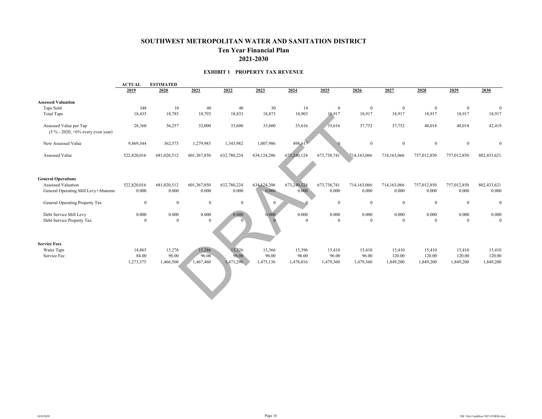#### **SOUTHWEST METROPOLITAN WATER AND SANITATION DISTRICT Ten Year Financial Plan 2021-2030**

#### **EXHIBIT 1 PROPERTY TAX REVENUE**

|                                                                | <b>ACTUAL</b><br><b>ESTIMATED</b> |              |              |              |              |             |                |              |                |                |                |                |
|----------------------------------------------------------------|-----------------------------------|--------------|--------------|--------------|--------------|-------------|----------------|--------------|----------------|----------------|----------------|----------------|
|                                                                | 2019                              | 2020         | 2021         | 2022         | 2023         | 2024        | 2025           | 2026         | 2027           | 2028           | 2029           | 2030           |
| <b>Assessed Valuation</b>                                      |                                   |              |              |              |              |             |                |              |                |                |                |                |
| Taps Sold                                                      | 348                               | 10           | 40           | 40           | 30           | 14          | $\mathbf{0}$   | $\mathbf{0}$ | $\overline{0}$ | $\mathbf{0}$   | $\overline{0}$ | $\mathbf{0}$   |
| <b>Total Taps</b>                                              | 18,435                            | 18,783       | 18,793       | 18,833       | 18,873       | 18,903      | 18,917         | 18,917       | 18,917         | 18,917         | 18,917         | 18,917         |
| Assessed Value per Tap<br>$(5\% - 2020, +6\%$ every even year) | 28,360                            | 36,257       | 32,000       | 33,600       | 33,600       | 35,616      | 35,616         | 37,752       | 37,752         | 40,018         | 40,018         | 42,419         |
| New Assessed Value                                             | 9,869,344                         | 362,573      | 1,279,983    | 1,343,982    | 1,007,986    | 498,617     |                | $\mathbf{0}$ | $\mathbf{0}$   | $\mathbf{0}$   | $\mathbf{0}$   | $\Omega$       |
| Assessed Value                                                 | 522,820,016                       | 681,020,512  | 601,367,850  | 632,780,224  | 634,124,206  | 673,240,124 | 673,738,741    | 714,163,066  | 714,163,066    | 757,012,850    | 757,012,850    | 802,433,621    |
| <b>General Operations</b>                                      |                                   |              |              |              |              |             |                |              |                |                |                |                |
| <b>Assessed Valuation</b>                                      | 522,820,016                       | 681,020,512  | 601,367,850  | 632,780,224  | 634,124,206  | 673,240,124 | 673,738,741    | 714,163,066  | 714,163,066    | 757,012,850    | 757,012,850    | 802,433,621    |
| General Operating Mill Levy+Abateme                            | 0.000                             | 0.000        | 0.000        | 0.000        | $0.000 -$    | 0.000       | 0.000          | 0.000        | 0.000          | 0.000          | 0.000          | 0.000          |
| General Operating Property Tax                                 | $\mathbf{0}$                      | $\mathbf{0}$ | $\mathbf{0}$ | $\mathbf{0}$ | $\mathbf{0}$ |             | $\overline{0}$ | $\mathbf{0}$ | $\mathbf{0}$   | $\mathbf{0}$   | $\overline{0}$ | $\bf{0}$       |
| Debt Service Mill Levy                                         | 0.000                             | 0.000        | 0.000        | 0.000        | 0.000        | 0.000       | 0.000          | 0.000        | 0.000          | 0.000          | 0.000          | $0.000\,$      |
| Debt Service Property Tax                                      | $\theta$                          | $\mathbf{0}$ | $\theta$     |              |              | $\theta$    | $\overline{0}$ | $\theta$     | $\overline{0}$ | $\overline{0}$ | $\theta$       | $\overline{0}$ |
| <b>Service Fees</b>                                            |                                   |              |              |              |              |             |                |              |                |                |                |                |
| Water Taps                                                     | 14,865                            | 15,276       | 15,286       | 15,326       | 15,366       | 15,396      | 15,410         | 15,410       | 15,410         | 15,410         | 15,410         | 15,410         |
| Service Fee                                                    | 84.00                             | 96.00        | 96.00        | 96.00        | 96.00        | 96.00       | 96.00          | 96.00        | 120.00         | 120.00         | 120.00         | 120.00         |
|                                                                | 1,273,375                         | 1,466,500    | 1,467,460    | 1,471,296    | 1,475,136    | 1,478,016   | 1,479,360      | 1,479,360    | 1,849,200      | 1,849,200      | 1,849,200      | 1,849,200      |